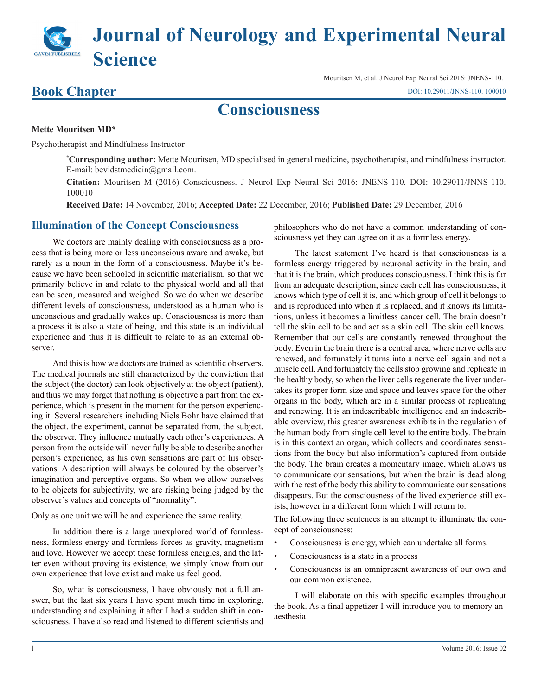# **Journal of Neurology and Experimental Neural Science**

### **Book Chapter**

Mouritsen M, et al. J Neurol Exp Neural Sci 2016: JNENS-110. [DOI: 10.29011/JNNS-110. 100010](http://doi.org/10.29011/JNNS-110. 100010)

## **Consciousness**

#### **Mette Mouritsen MD\***

Psychotherapist and Mindfulness Instructor

**\* Corresponding author:** Mette Mouritsen, MD specialised in general medicine, psychotherapist, and mindfulness instructor. E-mail: bevidstmedicin@gmail.com.

**Citation:** Mouritsen M (2016) Consciousness. J Neurol Exp Neural Sci 2016: JNENS-110. DOI: 10.29011/JNNS-110. 100010

**Received Date:** 14 November, 2016; **Accepted Date:** 22 December, 2016; **Published Date:** 29 December, 2016

#### **Illumination of the Concept Consciousness**

We doctors are mainly dealing with consciousness as a process that is being more or less unconscious aware and awake, but rarely as a noun in the form of a consciousness. Maybe it's because we have been schooled in scientific materialism, so that we primarily believe in and relate to the physical world and all that can be seen, measured and weighed. So we do when we describe different levels of consciousness, understood as a human who is unconscious and gradually wakes up. Consciousness is more than a process it is also a state of being, and this state is an individual experience and thus it is difficult to relate to as an external observer.

And this is how we doctors are trained as scientific observers. The medical journals are still characterized by the conviction that the subject (the doctor) can look objectively at the object (patient), and thus we may forget that nothing is objective a part from the experience, which is present in the moment for the person experiencing it. Several researchers including Niels Bohr have claimed that the object, the experiment, cannot be separated from, the subject, the observer. They influence mutually each other's experiences. A person from the outside will never fully be able to describe another person's experience, as his own sensations are part of his observations. A description will always be coloured by the observer's imagination and perceptive organs. So when we allow ourselves to be objects for subjectivity, we are risking being judged by the observer's values and concepts of "normality".

Only as one unit we will be and experience the same reality.

In addition there is a large unexplored world of formlessness, formless energy and formless forces as gravity, magnetism and love. However we accept these formless energies, and the latter even without proving its existence, we simply know from our own experience that love exist and make us feel good.

So, what is consciousness, I have obviously not a full answer, but the last six years I have spent much time in exploring, understanding and explaining it after I had a sudden shift in consciousness. I have also read and listened to different scientists and philosophers who do not have a common understanding of consciousness yet they can agree on it as a formless energy.

The latest statement I've heard is that consciousness is a formless energy triggered by neuronal activity in the brain, and that it is the brain, which produces consciousness. I think this is far from an adequate description, since each cell has consciousness, it knows which type of cell it is, and which group of cell it belongs to and is reproduced into when it is replaced, and it knows its limitations, unless it becomes a limitless cancer cell. The brain doesn't tell the skin cell to be and act as a skin cell. The skin cell knows. Remember that our cells are constantly renewed throughout the body. Even in the brain there is a central area, where nerve cells are renewed, and fortunately it turns into a nerve cell again and not a muscle cell. And fortunately the cells stop growing and replicate in the healthy body, so when the liver cells regenerate the liver undertakes its proper form size and space and leaves space for the other organs in the body, which are in a similar process of replicating and renewing. It is an indescribable intelligence and an indescribable overview, this greater awareness exhibits in the regulation of the human body from single cell level to the entire body. The brain is in this context an organ, which collects and coordinates sensations from the body but also information's captured from outside the body. The brain creates a momentary image, which allows us to communicate our sensations, but when the brain is dead along with the rest of the body this ability to communicate our sensations disappears. But the consciousness of the lived experience still exists, however in a different form which I will return to.

The following three sentences is an attempt to illuminate the concept of consciousness:

- Consciousness is energy, which can undertake all forms.
- Consciousness is a state in a process
- Consciousness is an omnipresent awareness of our own and our common existence.

I will elaborate on this with specific examples throughout the book. As a final appetizer I will introduce you to memory anaesthesia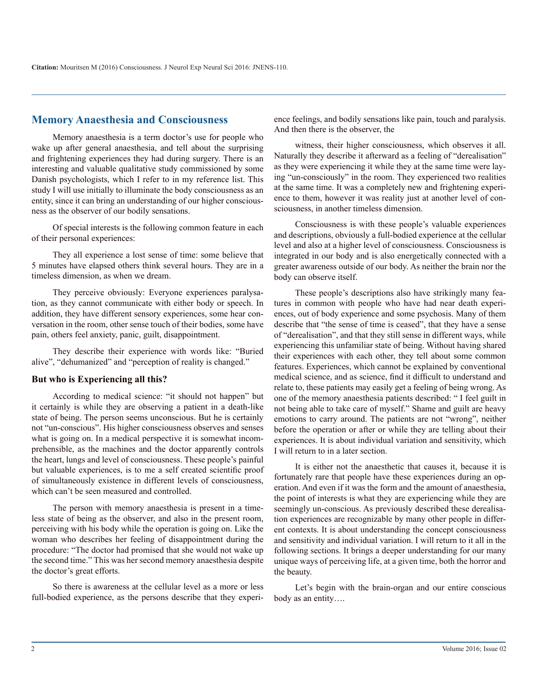#### **Memory Anaesthesia and Consciousness**

Memory anaesthesia is a term doctor's use for people who wake up after general anaesthesia, and tell about the surprising and frightening experiences they had during surgery. There is an interesting and valuable qualitative study commissioned by some Danish psychologists, which I refer to in my reference list. This study I will use initially to illuminate the body consciousness as an entity, since it can bring an understanding of our higher consciousness as the observer of our bodily sensations.

Of special interests is the following common feature in each of their personal experiences:

They all experience a lost sense of time: some believe that 5 minutes have elapsed others think several hours. They are in a timeless dimension, as when we dream.

They perceive obviously: Everyone experiences paralysation, as they cannot communicate with either body or speech. In addition, they have different sensory experiences, some hear conversation in the room, other sense touch of their bodies, some have pain, others feel anxiety, panic, guilt, disappointment.

They describe their experience with words like: "Buried alive", "dehumanized" and "perception of reality is changed."

#### **But who is Experiencing all this?**

According to medical science: "it should not happen" but it certainly is while they are observing a patient in a death-like state of being. The person seems unconscious. But he is certainly not "un-conscious". His higher consciousness observes and senses what is going on. In a medical perspective it is somewhat incomprehensible, as the machines and the doctor apparently controls the heart, lungs and level of consciousness. These people's painful but valuable experiences, is to me a self created scientific proof of simultaneously existence in different levels of consciousness, which can't be seen measured and controlled.

The person with memory anaesthesia is present in a timeless state of being as the observer, and also in the present room, perceiving with his body while the operation is going on. Like the woman who describes her feeling of disappointment during the procedure: "The doctor had promised that she would not wake up the second time." This was her second memory anaesthesia despite the doctor's great efforts.

So there is awareness at the cellular level as a more or less full-bodied experience, as the persons describe that they experience feelings, and bodily sensations like pain, touch and paralysis. And then there is the observer, the

witness, their higher consciousness, which observes it all. Naturally they describe it afterward as a feeling of "derealisation" as they were experiencing it while they at the same time were laying "un-consciously" in the room. They experienced two realities at the same time. It was a completely new and frightening experience to them, however it was reality just at another level of consciousness, in another timeless dimension.

Consciousness is with these people's valuable experiences and descriptions, obviously a full-bodied experience at the cellular level and also at a higher level of consciousness. Consciousness is integrated in our body and is also energetically connected with a greater awareness outside of our body. As neither the brain nor the body can observe itself.

These people's descriptions also have strikingly many features in common with people who have had near death experiences, out of body experience and some psychosis. Many of them describe that "the sense of time is ceased", that they have a sense of "derealisation", and that they still sense in different ways, while experiencing this unfamiliar state of being. Without having shared their experiences with each other, they tell about some common features. Experiences, which cannot be explained by conventional medical science, and as science, find it difficult to understand and relate to, these patients may easily get a feeling of being wrong. As one of the memory anaesthesia patients described: " I feel guilt in not being able to take care of myself." Shame and guilt are heavy emotions to carry around. The patients are not "wrong", neither before the operation or after or while they are telling about their experiences. It is about individual variation and sensitivity, which I will return to in a later section.

It is either not the anaesthetic that causes it, because it is fortunately rare that people have these experiences during an operation. And even if it was the form and the amount of anaesthesia, the point of interests is what they are experiencing while they are seemingly un-conscious. As previously described these derealisation experiences are recognizable by many other people in different contexts. It is about understanding the concept consciousness and sensitivity and individual variation. I will return to it all in the following sections. It brings a deeper understanding for our many unique ways of perceiving life, at a given time, both the horror and the beauty.

Let's begin with the brain-organ and our entire conscious body as an entity….